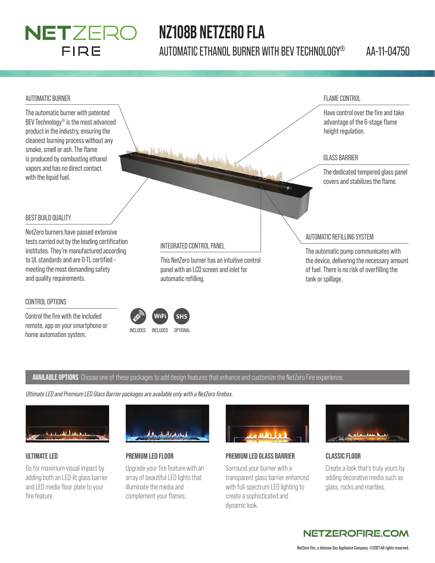### NETZERO FIRE

## **NZ108B NETZERO FLA**

AUTOMATIC ETHANOL BURNER WITH BEV TECHNOLOGY® AA-11-04750



**AVAILABLE OPTIONS** Choose one of these packages to add design features that enhance and customize the NetZero Fire experience.

*Ultimate LED and Premium LED Glass Barrier packages are available only with a NetZero fi rebox.*

home automation system.<br>
INCLUDED INCLUDED OPTIONAL



remote, app on your smartphone or

#### **ULTIMATE LED**

Go for maximum visual impact by adding both an LED-lit glass barrier and LED media floor plate to your fire feature.



### **PREMIUM LED FLOOR**

Upgrade your fire feature with an array of beautiful LED lights that illuminate the media and complement your flames.



### **PREMIUM LED GLASS BARRIER**

Surround your burner with a transparent glass barrier enhanced with full-spectrum LED lighting to create a sophisticated and dynamic look.



#### **CLASSIC FLOOR**

Create a look that's truly yours by adding decorative media such as glass, rocks and marbles.